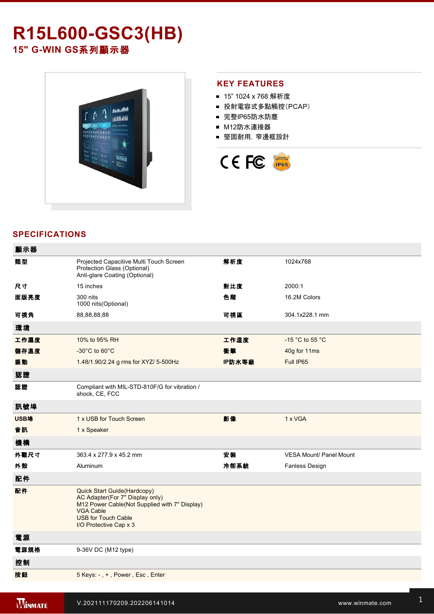# **R15L600GSC3(HB)** 15" G-WIN GS系列顯示器



## **KEY FEATURES**

- 15" 1024 x 768 解析度
- 投射電容式多點觸控(PCAP)
- 完整IP65防水防塵
- M12防水連接器
- 堅固耐用,窄邊框設計



## **SPECIFICATIONS**

| 顯示器  |                                                                                                                                                                                             |        |                                     |
|------|---------------------------------------------------------------------------------------------------------------------------------------------------------------------------------------------|--------|-------------------------------------|
| 類型   | Projected Capacitive Multi Touch Screen<br>Protection Glass (Optional)<br>Anti-glare Coating (Optional)                                                                                     | 解析度    | 1024x768                            |
| 尺寸   | 15 inches                                                                                                                                                                                   | 對比度    | 2000:1                              |
| 面版亮度 | 300 nits<br>1000 nits (Optional)                                                                                                                                                            | 色階     | 16.2M Colors                        |
| 可視角  | 88,88,88,88                                                                                                                                                                                 | 可視區    | 304.1x228.1 mm                      |
| 環境   |                                                                                                                                                                                             |        |                                     |
| 工作濕度 | 10% to 95% RH                                                                                                                                                                               | 工作溫度   | -15 $^{\circ}$ C to 55 $^{\circ}$ C |
| 儲存溫度 | $-30^{\circ}$ C to 60 $^{\circ}$ C                                                                                                                                                          | 衝擊     | 40g for 11ms                        |
| 振動   | 1.48/1.90/2.24 g rms for XYZ/ 5-500Hz                                                                                                                                                       | IP防水等級 | Full IP65                           |
| 認證   |                                                                                                                                                                                             |        |                                     |
| 認證   | Compliant with MIL-STD-810F/G for vibration /<br>shock, CE, FCC                                                                                                                             |        |                                     |
| 訊號埠  |                                                                                                                                                                                             |        |                                     |
| USB埠 | 1 x USB for Touch Screen                                                                                                                                                                    | 影像     | 1 x VGA                             |
| 音訊   | 1 x Speaker                                                                                                                                                                                 |        |                                     |
| 機構   |                                                                                                                                                                                             |        |                                     |
| 外觀尺寸 | 363.4 x 277.9 x 45.2 mm                                                                                                                                                                     | 安装     | <b>VESA Mount/ Panel Mount</b>      |
| 外殼   | Aluminum                                                                                                                                                                                    | 冷卻系統   | Fanless Design                      |
| 配件   |                                                                                                                                                                                             |        |                                     |
| 配件   | Quick Start Guide(Hardcopy)<br>AC Adapter(For 7" Display only)<br>M12 Power Cable(Not Supplied with 7" Display)<br><b>VGA Cable</b><br><b>USB for Touch Cable</b><br>I/O Protective Cap x 3 |        |                                     |
| 電源   |                                                                                                                                                                                             |        |                                     |
| 電源規格 | 9-36V DC (M12 type)                                                                                                                                                                         |        |                                     |
| 控制   |                                                                                                                                                                                             |        |                                     |
| 按鈕   | 5 Keys: -, +, Power, Esc, Enter                                                                                                                                                             |        |                                     |
|      |                                                                                                                                                                                             |        |                                     |

**Winmate R15L600GSC3(HB)**